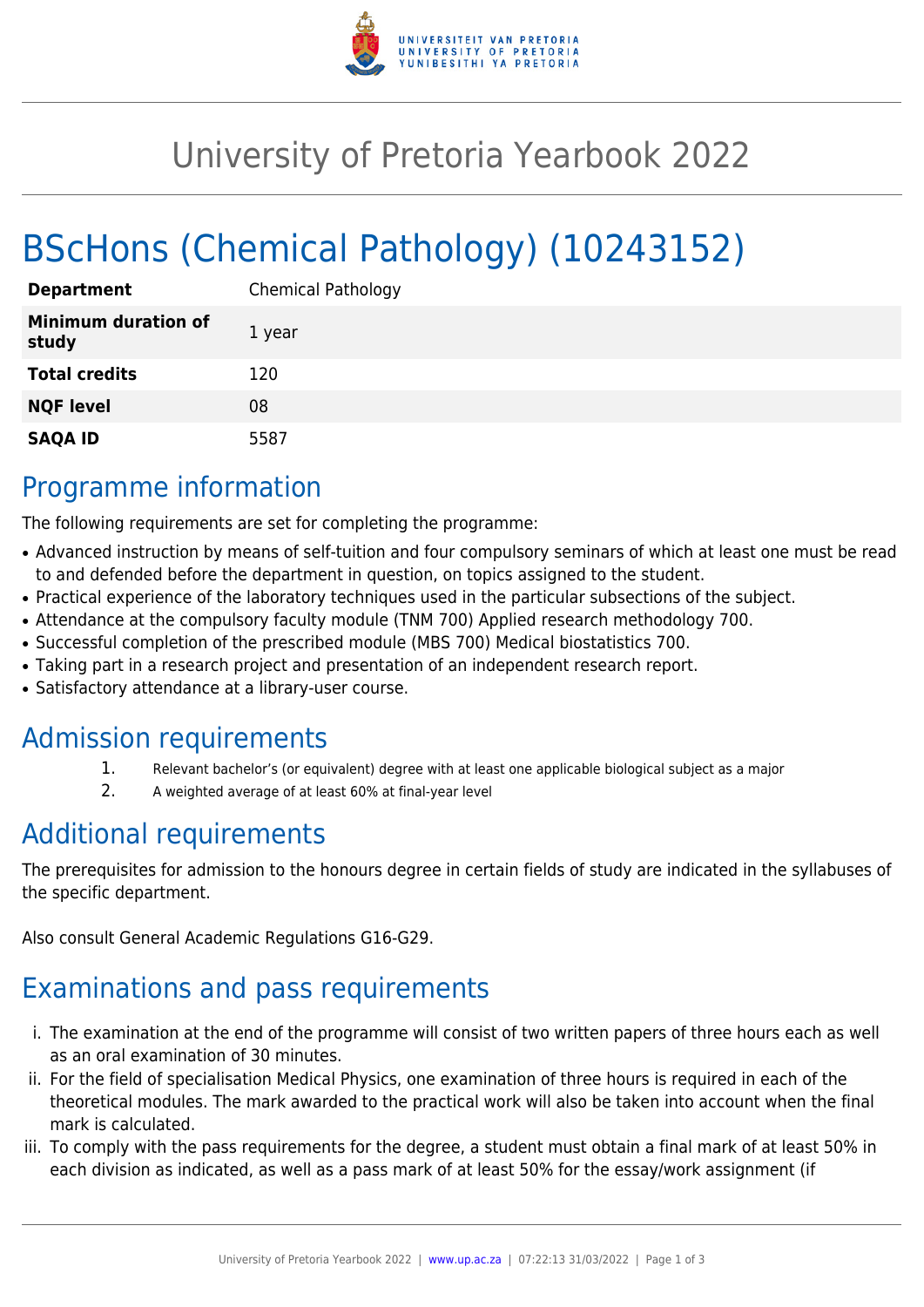

# University of Pretoria Yearbook 2022

# BScHons (Chemical Pathology) (10243152)

| <b>Department</b>                   | <b>Chemical Pathology</b> |
|-------------------------------------|---------------------------|
| <b>Minimum duration of</b><br>study | 1 year                    |
| <b>Total credits</b>                | 120                       |
| <b>NQF level</b>                    | 08                        |
| <b>SAQA ID</b>                      | 5587                      |

## Programme information

The following requirements are set for completing the programme:

- Advanced instruction by means of self-tuition and four compulsory seminars of which at least one must be read to and defended before the department in question, on topics assigned to the student.
- Practical experience of the laboratory techniques used in the particular subsections of the subject.
- Attendance at the compulsory faculty module (TNM 700) Applied research methodology 700.
- Successful completion of the prescribed module (MBS 700) Medical biostatistics 700.
- Taking part in a research project and presentation of an independent research report.
- Satisfactory attendance at a library-user course.

### Admission requirements

- 1. Relevant bachelor's (or equivalent) degree with at least one applicable biological subject as a major
- 2. A weighted average of at least 60% at final-year level

# Additional requirements

The prerequisites for admission to the honours degree in certain fields of study are indicated in the syllabuses of the specific department.

Also consult General Academic Regulations G16-G29.

# Examinations and pass requirements

- i. The examination at the end of the programme will consist of two written papers of three hours each as well as an oral examination of 30 minutes.
- ii. For the field of specialisation Medical Physics, one examination of three hours is required in each of the theoretical modules. The mark awarded to the practical work will also be taken into account when the final mark is calculated.
- iii. To comply with the pass requirements for the degree, a student must obtain a final mark of at least 50% in each division as indicated, as well as a pass mark of at least 50% for the essay/work assignment (if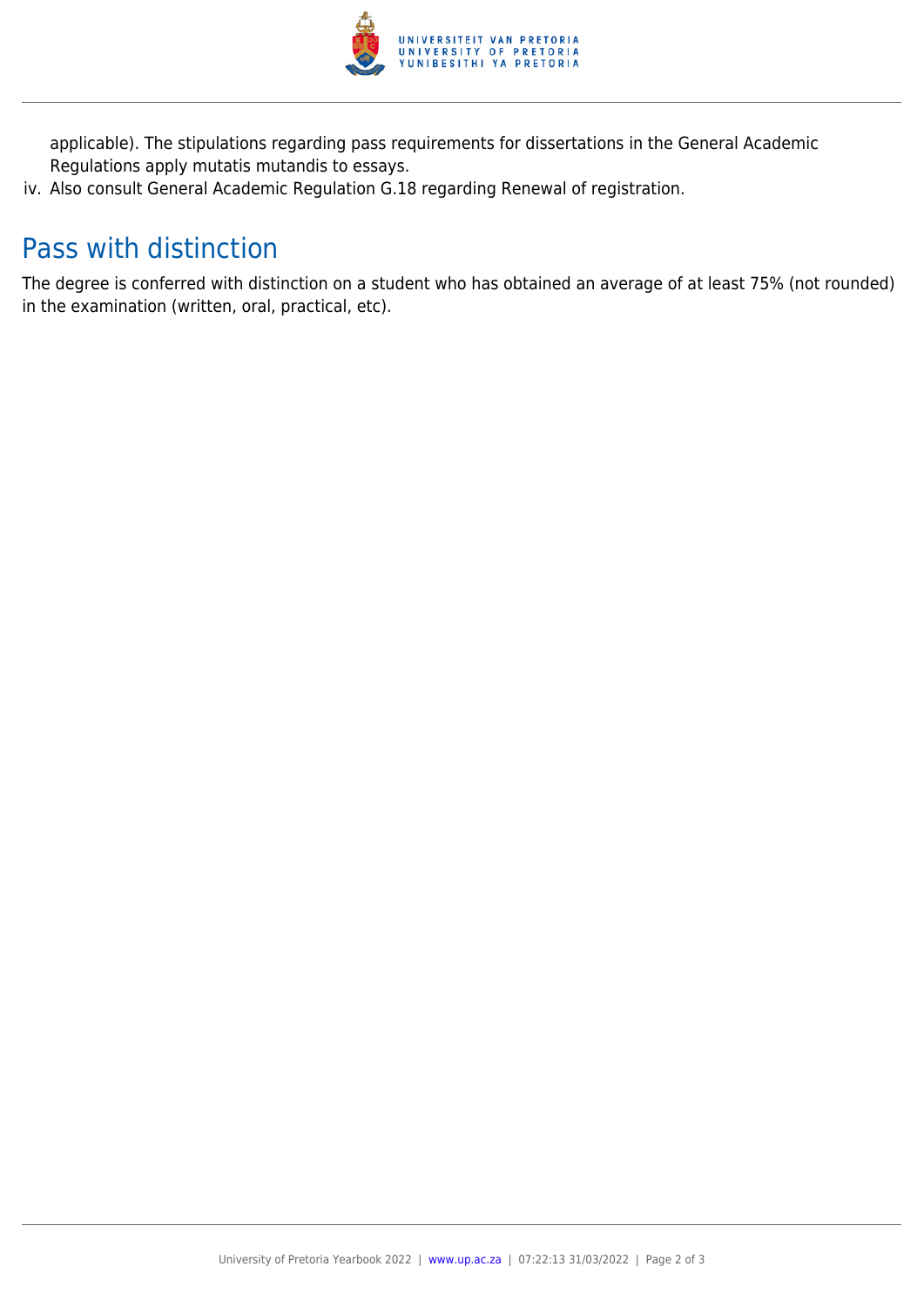

applicable). The stipulations regarding pass requirements for dissertations in the General Academic Regulations apply mutatis mutandis to essays.

iv. Also consult General Academic Regulation G.18 regarding Renewal of registration.

## Pass with distinction

The degree is conferred with distinction on a student who has obtained an average of at least 75% (not rounded) in the examination (written, oral, practical, etc).